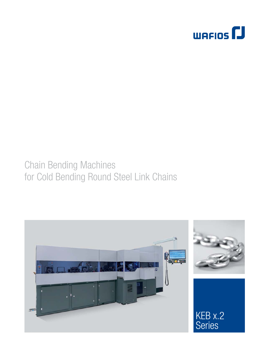

## Chain Bending Machines for Cold Bending Round Steel Link Chains

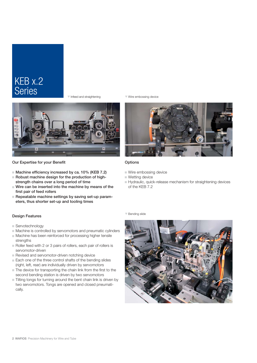### KEB x.2 Series

 $\overline{\mathbf{v}}$  Infeed and straightening



Our Expertise for your Benefit

- $\blacksquare$  Machine efficiency increased by ca. 10% (KEB 7.2)
- $\blacksquare$  Robust machine design for the production of highstrength chains over a long period of time
- $\blacksquare$  Wire can be inserted into the machine by means of the first pair of feed rollers
- Repeatable machine settings by saving set-up parameters, thus shorter set-up and tooling times

#### Design Features

- Servotechnology
- $\blacksquare$  Machine is controlled by servomotors and pneumatic cylinders
- $\blacksquare$  Machine has been reinforced for processing higher tensile strengths
- $\blacksquare$  Roller feed with 2 or 3 pairs of rollers, each pair of rollers is servomotor-driven
- Revised and servomotor-driven notching device
- $\blacksquare$  Each one of the three control shafts of the bending slides (right, left, rear) are individually driven by servomotors
- $\blacksquare$  The device for transporting the chain link from the first to the second bending station is driven by two servomotors
- $\blacksquare$  Tilting tongs for turning around the bent chain link is driven by two servomotors. Tongs are opened and closed pneumatically.

 $\nabla$  Wire embossing device



#### Options

- $\blacksquare$  Wire embossing device
- $\blacksquare$  Wetting device
- Hydraulic, quick-release mechanism for straightening devices of the KEB 7.2

 $\overline{\mathbf{v}}$  Bending slide

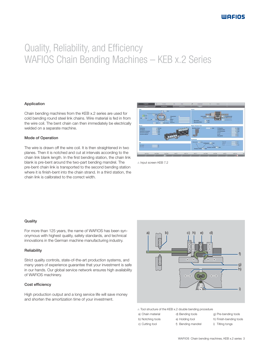# Quality, Reliability, and Efficiency WAFIOS Chain Bending Machines – KEB x.2 Series

#### Application

Chain bending machines from the KEB x.2 series are used for cold bending round steel link chains. Wire material is fed in from the wire coil. The bent chain can then immediately be electrically welded on a separate machine.

#### Mode of Operation

The wire is drawn off the wire coil. It is then straightened in two planes. Then it is notched and cut at intervals according to the chain link blank length. In the first bending station, the chain link blank is pre-bent around the two-part bending mandrel. The pre-bent chain link is transported to the second bending station where it is finish-bent into the chain strand. In a third station, the chain link is calibrated to the correct width.



**Solut Screen KEB 7.2** 

#### **Quality**

For more than 125 years, the name of WAFIOS has been synonymous with highest quality, safety standards, and technical innovations in the German machine manufacturing industry.

#### **Reliability**

Strict quality controls, state-of-the-art production systems, and many years of experience guarantee that your investment is safe in our hands. Our global service network ensures high availability of WAFIOS machinery.

#### Cost efficiency

High production output and a long service life will save money and shorten the amortization time of your investment.



 $\triangle$  Tool structure of the KEB x.2 double bending procedure

- a) Chain material
- d) Bending tools e) Holding tool
- b) Notching tools c) Cutting tool
- f) Bending mandrel
- h) Finish-bending tools i) Tilting tongs

g) Pre-bending tools

WAFIOS Chain bending machines, KEB x.2 series 3